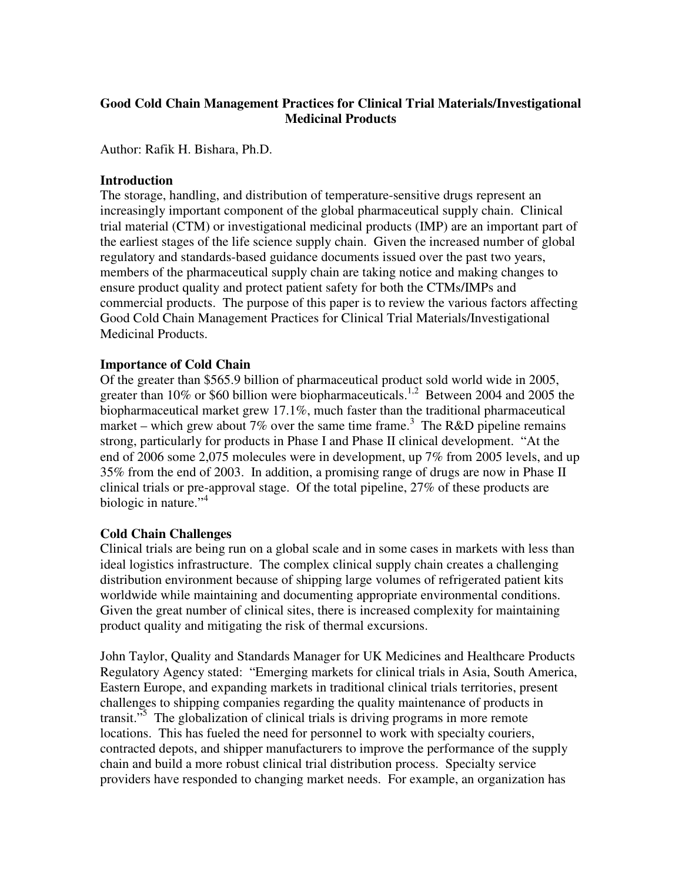# **Good Cold Chain Management Practices for Clinical Trial Materials/Investigational Medicinal Products**

Author: Rafik H. Bishara, Ph.D.

#### **Introduction**

The storage, handling, and distribution of temperature-sensitive drugs represent an increasingly important component of the global pharmaceutical supply chain. Clinical trial material (CTM) or investigational medicinal products (IMP) are an important part of the earliest stages of the life science supply chain. Given the increased number of global regulatory and standards-based guidance documents issued over the past two years, members of the pharmaceutical supply chain are taking notice and making changes to ensure product quality and protect patient safety for both the CTMs/IMPs and commercial products. The purpose of this paper is to review the various factors affecting Good Cold Chain Management Practices for Clinical Trial Materials/Investigational Medicinal Products.

### **Importance of Cold Chain**

Of the greater than \$565.9 billion of pharmaceutical product sold world wide in 2005, greater than 10% or \$60 billion were biopharmaceuticals.<sup>1,2</sup> Between 2004 and 2005 the biopharmaceutical market grew 17.1%, much faster than the traditional pharmaceutical market – which grew about 7% over the same time frame.<sup>3</sup> The R&D pipeline remains strong, particularly for products in Phase I and Phase II clinical development. "At the end of 2006 some 2,075 molecules were in development, up 7% from 2005 levels, and up 35% from the end of 2003. In addition, a promising range of drugs are now in Phase II clinical trials or pre-approval stage. Of the total pipeline, 27% of these products are biologic in nature."<sup>4</sup>

#### **Cold Chain Challenges**

Clinical trials are being run on a global scale and in some cases in markets with less than ideal logistics infrastructure. The complex clinical supply chain creates a challenging distribution environment because of shipping large volumes of refrigerated patient kits worldwide while maintaining and documenting appropriate environmental conditions. Given the great number of clinical sites, there is increased complexity for maintaining product quality and mitigating the risk of thermal excursions.

John Taylor, Quality and Standards Manager for UK Medicines and Healthcare Products Regulatory Agency stated: "Emerging markets for clinical trials in Asia, South America, Eastern Europe, and expanding markets in traditional clinical trials territories, present challenges to shipping companies regarding the quality maintenance of products in transit."<sup>5</sup> The globalization of clinical trials is driving programs in more remote locations. This has fueled the need for personnel to work with specialty couriers, contracted depots, and shipper manufacturers to improve the performance of the supply chain and build a more robust clinical trial distribution process. Specialty service providers have responded to changing market needs. For example, an organization has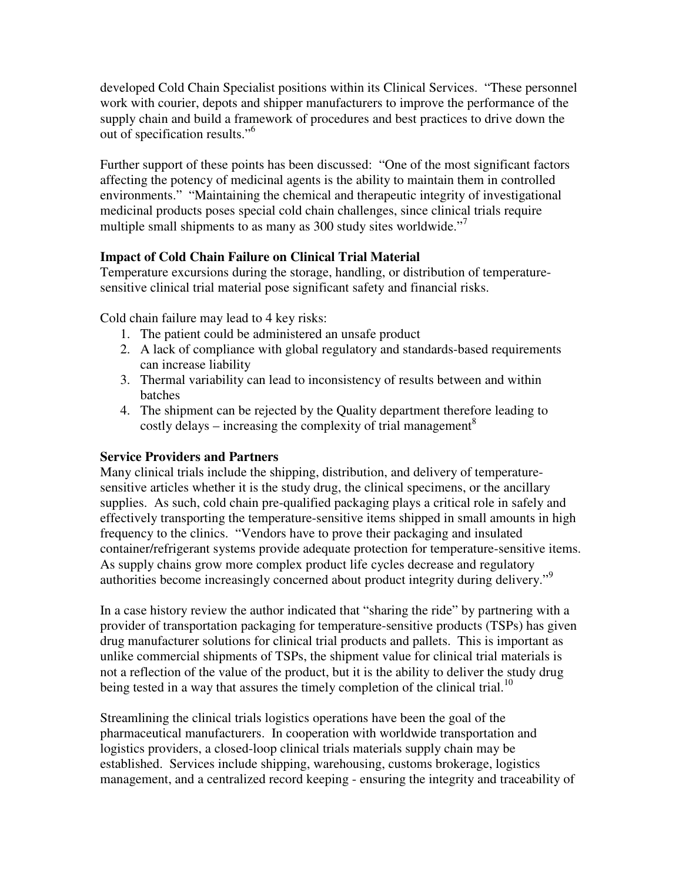developed Cold Chain Specialist positions within its Clinical Services. "These personnel work with courier, depots and shipper manufacturers to improve the performance of the supply chain and build a framework of procedures and best practices to drive down the out of specification results."<sup>6</sup>

Further support of these points has been discussed: "One of the most significant factors affecting the potency of medicinal agents is the ability to maintain them in controlled environments." "Maintaining the chemical and therapeutic integrity of investigational medicinal products poses special cold chain challenges, since clinical trials require multiple small shipments to as many as 300 study sites worldwide."<sup>7</sup>

## **Impact of Cold Chain Failure on Clinical Trial Material**

Temperature excursions during the storage, handling, or distribution of temperaturesensitive clinical trial material pose significant safety and financial risks.

Cold chain failure may lead to 4 key risks:

- 1. The patient could be administered an unsafe product
- 2. A lack of compliance with global regulatory and standards-based requirements can increase liability
- 3. Thermal variability can lead to inconsistency of results between and within batches
- 4. The shipment can be rejected by the Quality department therefore leading to costly delays – increasing the complexity of trial management<sup>8</sup>

## **Service Providers and Partners**

Many clinical trials include the shipping, distribution, and delivery of temperaturesensitive articles whether it is the study drug, the clinical specimens, or the ancillary supplies. As such, cold chain pre-qualified packaging plays a critical role in safely and effectively transporting the temperature-sensitive items shipped in small amounts in high frequency to the clinics. "Vendors have to prove their packaging and insulated container/refrigerant systems provide adequate protection for temperature-sensitive items. As supply chains grow more complex product life cycles decrease and regulatory authorities become increasingly concerned about product integrity during delivery."<sup>9</sup>

In a case history review the author indicated that "sharing the ride" by partnering with a provider of transportation packaging for temperature-sensitive products (TSPs) has given drug manufacturer solutions for clinical trial products and pallets. This is important as unlike commercial shipments of TSPs, the shipment value for clinical trial materials is not a reflection of the value of the product, but it is the ability to deliver the study drug being tested in a way that assures the timely completion of the clinical trial.<sup>10</sup>

Streamlining the clinical trials logistics operations have been the goal of the pharmaceutical manufacturers. In cooperation with worldwide transportation and logistics providers, a closed-loop clinical trials materials supply chain may be established. Services include shipping, warehousing, customs brokerage, logistics management, and a centralized record keeping - ensuring the integrity and traceability of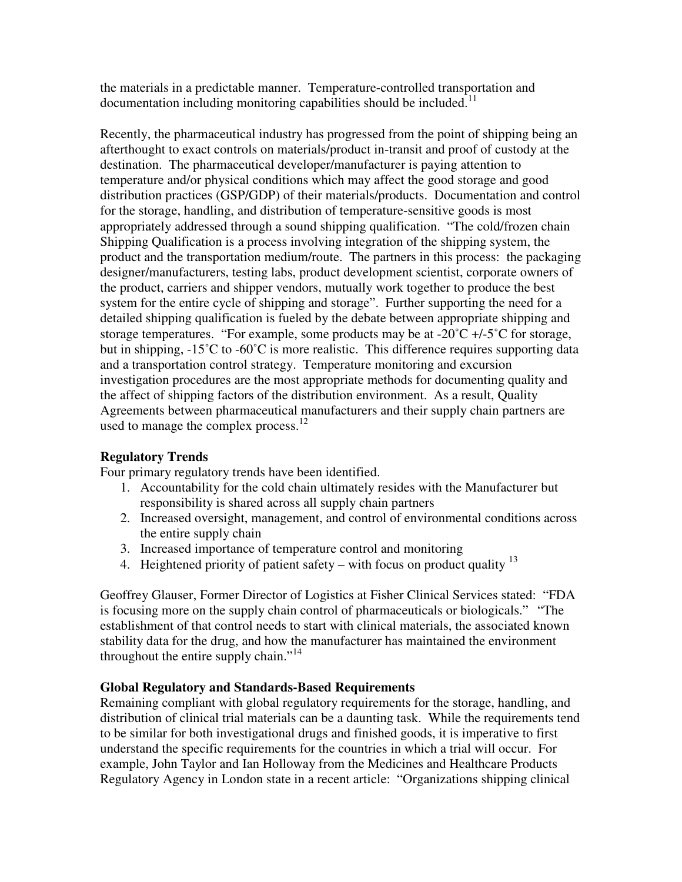the materials in a predictable manner. Temperature-controlled transportation and  $d$  documentation including monitoring capabilities should be included.<sup>11</sup>

Recently, the pharmaceutical industry has progressed from the point of shipping being an afterthought to exact controls on materials/product in-transit and proof of custody at the destination. The pharmaceutical developer/manufacturer is paying attention to temperature and/or physical conditions which may affect the good storage and good distribution practices (GSP/GDP) of their materials/products. Documentation and control for the storage, handling, and distribution of temperature-sensitive goods is most appropriately addressed through a sound shipping qualification. "The cold/frozen chain Shipping Qualification is a process involving integration of the shipping system, the product and the transportation medium/route. The partners in this process: the packaging designer/manufacturers, testing labs, product development scientist, corporate owners of the product, carriers and shipper vendors, mutually work together to produce the best system for the entire cycle of shipping and storage". Further supporting the need for a detailed shipping qualification is fueled by the debate between appropriate shipping and storage temperatures. "For example, some products may be at  $-20^{\circ}C +/-5^{\circ}C$  for storage, but in shipping, -15<sup>°</sup>C to -60<sup>°</sup>C is more realistic. This difference requires supporting data and a transportation control strategy. Temperature monitoring and excursion investigation procedures are the most appropriate methods for documenting quality and the affect of shipping factors of the distribution environment. As a result, Quality Agreements between pharmaceutical manufacturers and their supply chain partners are used to manage the complex process. $12$ 

## **Regulatory Trends**

Four primary regulatory trends have been identified.

- 1. Accountability for the cold chain ultimately resides with the Manufacturer but responsibility is shared across all supply chain partners
- 2. Increased oversight, management, and control of environmental conditions across the entire supply chain
- 3. Increased importance of temperature control and monitoring
- 4. Heightened priority of patient safety with focus on product quality  $^{13}$

Geoffrey Glauser, Former Director of Logistics at Fisher Clinical Services stated: "FDA is focusing more on the supply chain control of pharmaceuticals or biologicals." "The establishment of that control needs to start with clinical materials, the associated known stability data for the drug, and how the manufacturer has maintained the environment throughout the entire supply chain."<sup>14</sup>

## **Global Regulatory and Standards-Based Requirements**

Remaining compliant with global regulatory requirements for the storage, handling, and distribution of clinical trial materials can be a daunting task. While the requirements tend to be similar for both investigational drugs and finished goods, it is imperative to first understand the specific requirements for the countries in which a trial will occur. For example, John Taylor and Ian Holloway from the Medicines and Healthcare Products Regulatory Agency in London state in a recent article: "Organizations shipping clinical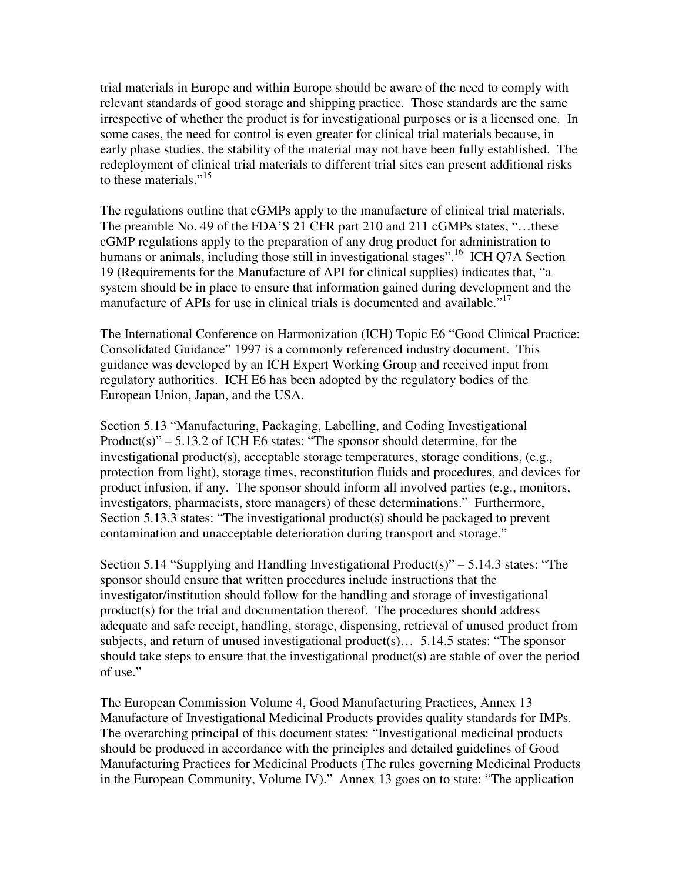trial materials in Europe and within Europe should be aware of the need to comply with relevant standards of good storage and shipping practice. Those standards are the same irrespective of whether the product is for investigational purposes or is a licensed one. In some cases, the need for control is even greater for clinical trial materials because, in early phase studies, the stability of the material may not have been fully established. The redeployment of clinical trial materials to different trial sites can present additional risks to these materials."<sup>15</sup>

The regulations outline that cGMPs apply to the manufacture of clinical trial materials. The preamble No. 49 of the FDA'S 21 CFR part 210 and 211 cGMPs states, "…these cGMP regulations apply to the preparation of any drug product for administration to humans or animals, including those still in investigational stages".<sup>16</sup> ICH Q7A Section 19 (Requirements for the Manufacture of API for clinical supplies) indicates that, "a system should be in place to ensure that information gained during development and the manufacture of APIs for use in clinical trials is documented and available."<sup>17</sup>

The International Conference on Harmonization (ICH) Topic E6 "Good Clinical Practice: Consolidated Guidance" 1997 is a commonly referenced industry document. This guidance was developed by an ICH Expert Working Group and received input from regulatory authorities. ICH E6 has been adopted by the regulatory bodies of the European Union, Japan, and the USA.

Section 5.13 "Manufacturing, Packaging, Labelling, and Coding Investigational Product(s)"  $-$  5.13.2 of ICH E6 states: "The sponsor should determine, for the investigational product(s), acceptable storage temperatures, storage conditions, (e.g., protection from light), storage times, reconstitution fluids and procedures, and devices for product infusion, if any. The sponsor should inform all involved parties (e.g., monitors, investigators, pharmacists, store managers) of these determinations." Furthermore, Section 5.13.3 states: "The investigational product(s) should be packaged to prevent contamination and unacceptable deterioration during transport and storage."

Section 5.14 "Supplying and Handling Investigational Product(s)" – 5.14.3 states: "The sponsor should ensure that written procedures include instructions that the investigator/institution should follow for the handling and storage of investigational product(s) for the trial and documentation thereof. The procedures should address adequate and safe receipt, handling, storage, dispensing, retrieval of unused product from subjects, and return of unused investigational product(s)… 5.14.5 states: "The sponsor should take steps to ensure that the investigational product(s) are stable of over the period of use."

The European Commission Volume 4, Good Manufacturing Practices, Annex 13 Manufacture of Investigational Medicinal Products provides quality standards for IMPs. The overarching principal of this document states: "Investigational medicinal products should be produced in accordance with the principles and detailed guidelines of Good Manufacturing Practices for Medicinal Products (The rules governing Medicinal Products in the European Community, Volume IV)." Annex 13 goes on to state: "The application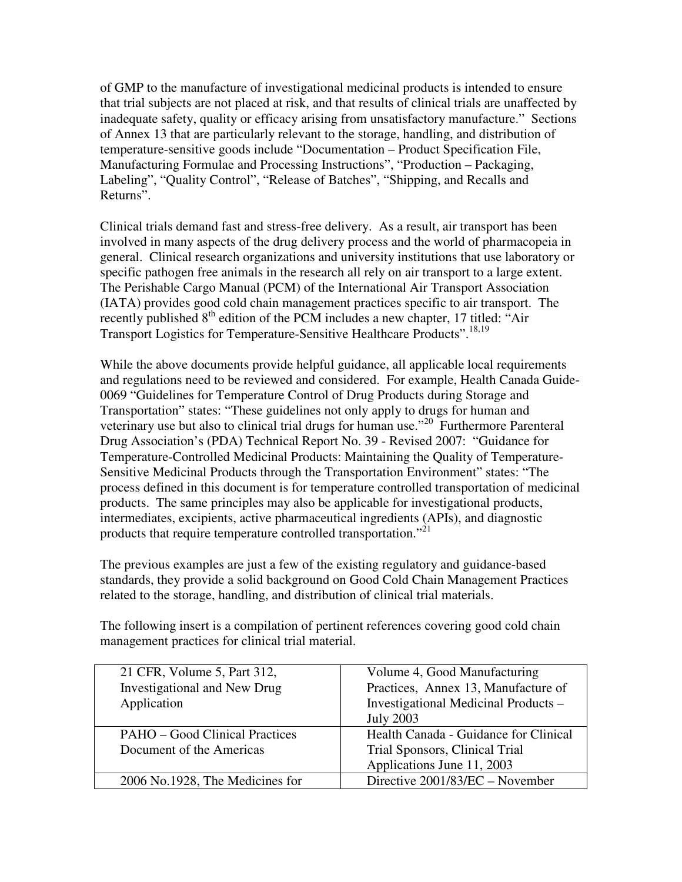of GMP to the manufacture of investigational medicinal products is intended to ensure that trial subjects are not placed at risk, and that results of clinical trials are unaffected by inadequate safety, quality or efficacy arising from unsatisfactory manufacture." Sections of Annex 13 that are particularly relevant to the storage, handling, and distribution of temperature-sensitive goods include "Documentation – Product Specification File, Manufacturing Formulae and Processing Instructions", "Production – Packaging, Labeling", "Quality Control", "Release of Batches", "Shipping, and Recalls and Returns".

Clinical trials demand fast and stress-free delivery. As a result, air transport has been involved in many aspects of the drug delivery process and the world of pharmacopeia in general. Clinical research organizations and university institutions that use laboratory or specific pathogen free animals in the research all rely on air transport to a large extent. The Perishable Cargo Manual (PCM) of the International Air Transport Association (IATA) provides good cold chain management practices specific to air transport. The recently published  $8<sup>th</sup>$  edition of the PCM includes a new chapter, 17 titled: "Air Transport Logistics for Temperature-Sensitive Healthcare Products".18,19

While the above documents provide helpful guidance, all applicable local requirements and regulations need to be reviewed and considered. For example, Health Canada Guide-0069 "Guidelines for Temperature Control of Drug Products during Storage and Transportation" states: "These guidelines not only apply to drugs for human and veterinary use but also to clinical trial drugs for human use."<sup>20</sup> Furthermore Parenteral Drug Association's (PDA) Technical Report No. 39 - Revised 2007: "Guidance for Temperature-Controlled Medicinal Products: Maintaining the Quality of Temperature-Sensitive Medicinal Products through the Transportation Environment" states: "The process defined in this document is for temperature controlled transportation of medicinal products. The same principles may also be applicable for investigational products, intermediates, excipients, active pharmaceutical ingredients (APIs), and diagnostic products that require temperature controlled transportation."<sup>21</sup>

The previous examples are just a few of the existing regulatory and guidance-based standards, they provide a solid background on Good Cold Chain Management Practices related to the storage, handling, and distribution of clinical trial materials.

The following insert is a compilation of pertinent references covering good cold chain management practices for clinical trial material.

| 21 CFR, Volume 5, Part 312,           | Volume 4, Good Manufacturing          |
|---------------------------------------|---------------------------------------|
| <b>Investigational and New Drug</b>   | Practices, Annex 13, Manufacture of   |
| Application                           | Investigational Medicinal Products -  |
|                                       | <b>July 2003</b>                      |
| <b>PAHO</b> – Good Clinical Practices | Health Canada - Guidance for Clinical |
| Document of the Americas              | Trial Sponsors, Clinical Trial        |
|                                       | Applications June 11, 2003            |
| 2006 No.1928, The Medicines for       | Directive 2001/83/EC – November       |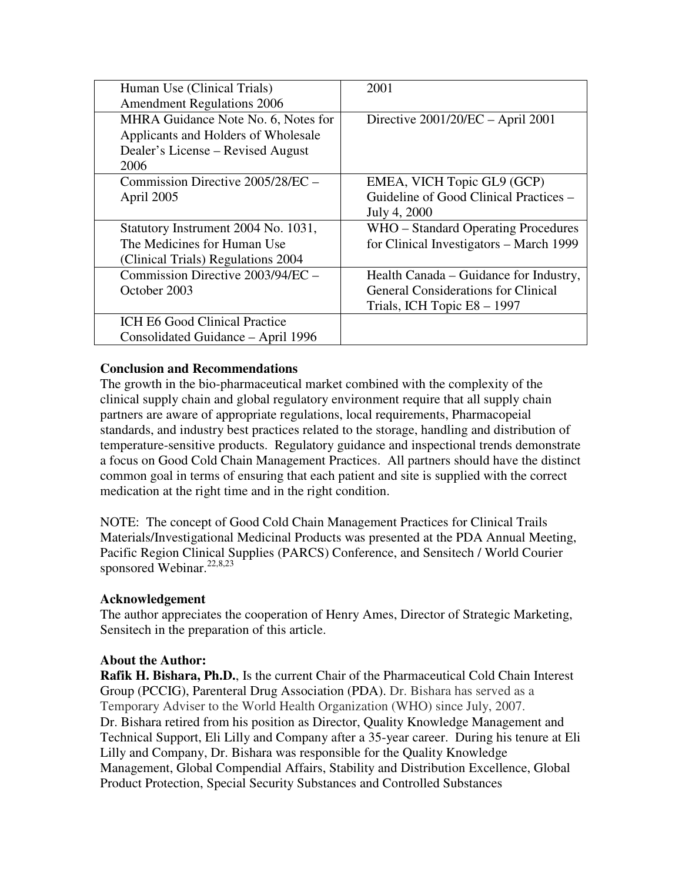| Human Use (Clinical Trials)         | 2001                                       |
|-------------------------------------|--------------------------------------------|
| <b>Amendment Regulations 2006</b>   |                                            |
| MHRA Guidance Note No. 6, Notes for | Directive $2001/20/EC - April 2001$        |
| Applicants and Holders of Wholesale |                                            |
| Dealer's License – Revised August   |                                            |
| 2006                                |                                            |
| Commission Directive 2005/28/EC -   | EMEA, VICH Topic GL9 (GCP)                 |
| April 2005                          | Guideline of Good Clinical Practices -     |
|                                     | July 4, 2000                               |
| Statutory Instrument 2004 No. 1031, | WHO – Standard Operating Procedures        |
| The Medicines for Human Use         | for Clinical Investigators – March 1999    |
| (Clinical Trials) Regulations 2004  |                                            |
| Commission Directive 2003/94/EC -   | Health Canada – Guidance for Industry,     |
| October 2003                        | <b>General Considerations for Clinical</b> |
|                                     | Trials, ICH Topic E8 - 1997                |
| ICH E6 Good Clinical Practice       |                                            |
| Consolidated Guidance - April 1996  |                                            |

### **Conclusion and Recommendations**

The growth in the bio-pharmaceutical market combined with the complexity of the clinical supply chain and global regulatory environment require that all supply chain partners are aware of appropriate regulations, local requirements, Pharmacopeial standards, and industry best practices related to the storage, handling and distribution of temperature-sensitive products. Regulatory guidance and inspectional trends demonstrate a focus on Good Cold Chain Management Practices. All partners should have the distinct common goal in terms of ensuring that each patient and site is supplied with the correct medication at the right time and in the right condition.

NOTE: The concept of Good Cold Chain Management Practices for Clinical Trails Materials/Investigational Medicinal Products was presented at the PDA Annual Meeting, Pacific Region Clinical Supplies (PARCS) Conference, and Sensitech / World Courier sponsored Webinar.<sup>22,8,23</sup>

#### **Acknowledgement**

The author appreciates the cooperation of Henry Ames, Director of Strategic Marketing, Sensitech in the preparation of this article.

#### **About the Author:**

**Rafik H. Bishara, Ph.D.**, Is the current Chair of the Pharmaceutical Cold Chain Interest Group (PCCIG), Parenteral Drug Association (PDA). Dr. Bishara has served as a Temporary Adviser to the World Health Organization (WHO) since July, 2007. Dr. Bishara retired from his position as Director, Quality Knowledge Management and Technical Support, Eli Lilly and Company after a 35-year career. During his tenure at Eli Lilly and Company, Dr. Bishara was responsible for the Quality Knowledge Management, Global Compendial Affairs, Stability and Distribution Excellence, Global Product Protection, Special Security Substances and Controlled Substances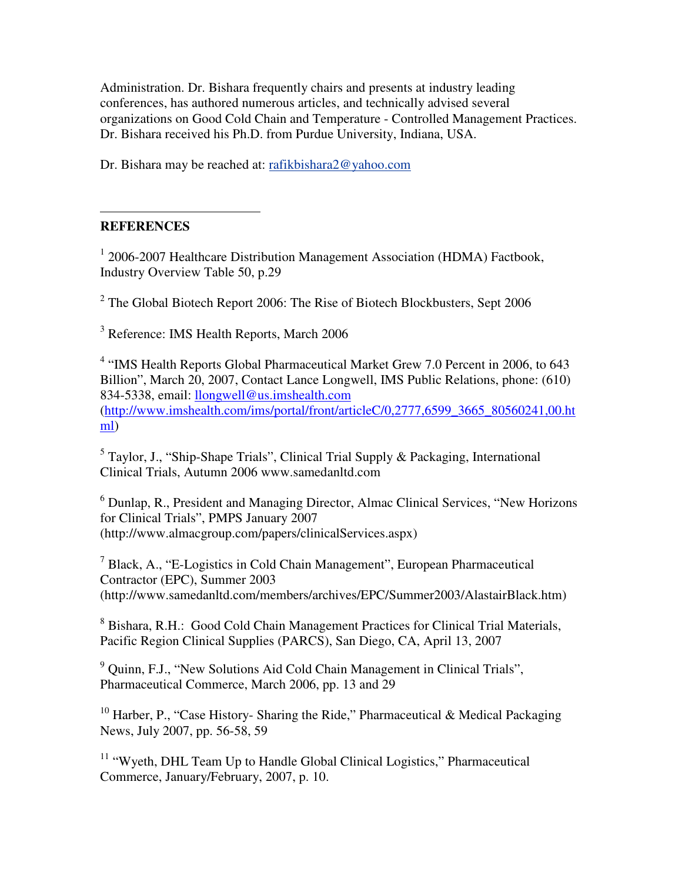Administration. Dr. Bishara frequently chairs and presents at industry leading conferences, has authored numerous articles, and technically advised several organizations on Good Cold Chain and Temperature - Controlled Management Practices. Dr. Bishara received his Ph.D. from Purdue University, Indiana, USA.

Dr. Bishara may be reached at: rafikbishara2@yahoo.com

#### $\overline{a}$ **REFERENCES**

<sup>1</sup> 2006-2007 Healthcare Distribution Management Association (HDMA) Factbook, Industry Overview Table 50, p.29

 $2$  The Global Biotech Report 2006: The Rise of Biotech Blockbusters, Sept 2006

<sup>3</sup> Reference: IMS Health Reports, March 2006

<sup>4</sup> "IMS Health Reports Global Pharmaceutical Market Grew 7.0 Percent in 2006, to 643 Billion", March 20, 2007, Contact Lance Longwell, IMS Public Relations, phone: (610) 834-5338, email: llongwell@us.imshealth.com (http://www.imshealth.com/ims/portal/front/articleC/0,2777,6599\_3665\_80560241,00.ht ml)

<sup>5</sup> Taylor, J., "Ship-Shape Trials", Clinical Trial Supply & Packaging, International Clinical Trials, Autumn 2006 www.samedanltd.com

<sup>6</sup> Dunlap, R., President and Managing Director, Almac Clinical Services, "New Horizons for Clinical Trials", PMPS January 2007 (http://www.almacgroup.com/papers/clinicalServices.aspx)

<sup>7</sup> Black, A., "E-Logistics in Cold Chain Management", European Pharmaceutical Contractor (EPC), Summer 2003 (http://www.samedanltd.com/members/archives/EPC/Summer2003/AlastairBlack.htm)

<sup>8</sup> Bishara, R.H.: Good Cold Chain Management Practices for Clinical Trial Materials, Pacific Region Clinical Supplies (PARCS), San Diego, CA, April 13, 2007

<sup>9</sup> Quinn, F.J., "New Solutions Aid Cold Chain Management in Clinical Trials", Pharmaceutical Commerce, March 2006, pp. 13 and 29

<sup>10</sup> Harber, P., "Case History- Sharing the Ride," Pharmaceutical & Medical Packaging News, July 2007, pp. 56-58, 59

<sup>11</sup> "Wyeth, DHL Team Up to Handle Global Clinical Logistics," Pharmaceutical Commerce, January/February, 2007, p. 10.